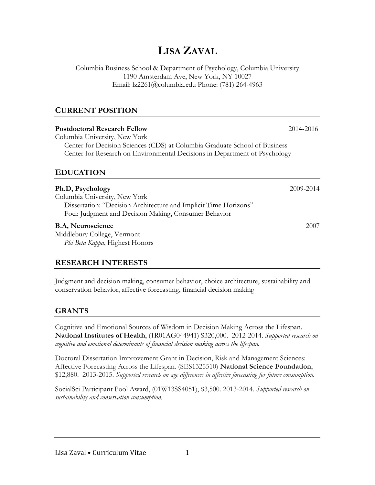# **LISA ZAVAL**

Columbia Business School & Department of Psychology, Columbia University 1190 Amsterdam Ave, New York, NY 10027 Email: lz2261@columbia.edu Phone: (781) 264-4963

#### **CURRENT POSITION**

| <b>Postdoctoral Research Fellow</b>                                                            | 2014-2016 |  |
|------------------------------------------------------------------------------------------------|-----------|--|
| Columbia University, New York                                                                  |           |  |
| Center for Decision Sciences (CDS) at Columbia Graduate School of Business                     |           |  |
| Center for Research on Environmental Decisions in Department of Psychology<br><b>EDUCATION</b> |           |  |
|                                                                                                |           |  |
| Columbia University, New York                                                                  |           |  |
| Dissertation: "Decision Architecture and Implicit Time Horizons"                               |           |  |
| Foci: Judgment and Decision Making, Consumer Behavior                                          |           |  |
| <b>B.A, Neuroscience</b>                                                                       | 2007      |  |
| Middlebury College, Vermont                                                                    |           |  |
| Phi Beta Kappa, Highest Honors                                                                 |           |  |

# **RESEARCH INTERESTS**

Judgment and decision making, consumer behavior, choice architecture, sustainability and conservation behavior, affective forecasting, financial decision making

# **GRANTS**

Cognitive and Emotional Sources of Wisdom in Decision Making Across the Lifespan. **National Institutes of Health**, (1R01AG044941) \$320,000. 2012-2014. *Supported research on cognitive and emotional determinants of financial decision making across the lifespan.*

Doctoral Dissertation Improvement Grant in Decision, Risk and Management Sciences: Affective Forecasting Across the Lifespan. (SES1325510) **National Science Foundation**, \$12,880. 2013-2015. *Supported research on age differences in affective forecasting for future consumption.*

SocialSci Participant Pool Award, (01W13SS4051), \$3,500. 2013-2014. *Supported research on sustainability and conservation consumption.*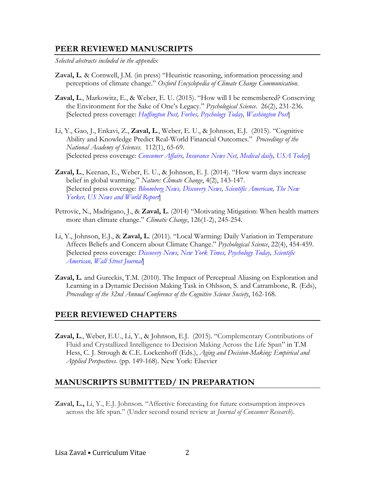#### **PEER REVIEWED MANUSCRIPTS**

*Selected abstracts included in the appendix*

- **Zaval, L**. & Cornwell, J.M. (in press) "Heuristic reasoning, information processing and perceptions of climate change." *Oxford Encyclopedia of Climate Change Communication*.
- **Zaval, L**., Markowitz, E., & Weber, E. U. (2015). "How will I be remembered? Conserving the Environment for the Sake of One's Legacy." *Psychological Science*. 26(2), 231-236. [Selected press coverage: *Huffington Post, Forbes, Psychology Today, Washington Post*]
- Li, Y., Gao, J., Enkavi, Z., **Zaval, L**., Weber, E. U., & Johnson, E.J. (2015). "Cognitive Ability and Knowledge Predict Real-World Financial Outcomes." *Proceedings of the National Academy of Sciences*. 112(1), 65-69. [Selected press coverage: *Consumer Affairs, Insurance News Net, Medical daily, USA Today*]
- **Zaval, L**., Keenan, E., Weber, E. U., & Johnson, E. J. (2014). "How warm days increase belief in global warming." *Nature: Climate Change*, 4(2), 143-147. [Selected press coverage: *Bloomberg News, Discovery News, Scientific American, The New Yorker, US News and World Report*]
- Petrovic, N., Madrigano, J., & **Zaval, L**. (2014) "Motivating Mitigation: When health matters more than climate change." *Climatic Change*, 126(1-2), 245-254.
- Li, Y., Johnson, E.J., & **Zaval, L**. (2011). "Local Warming: Daily Variation in Temperature Affects Beliefs and Concern about Climate Change." *Psychological Science*, 22(4), 454-459. [Selected press coverage: *Discovery News, New York Times, Psychology Today, Scientific American, Wall Street Journal*]
- **Zaval, L**. and Gureckis, T.M. (2010). The Impact of Perceptual Aliasing on Exploration and Learning in a Dynamic Decision Making Task in Ohlsson, S. and Catrambone, R. (Eds), *Proceedings of the 32nd Annual Conference of the Cognitive Science Society*, 162-168.

#### **PEER REVIEWED CHAPTERS**

**Zaval, L**., Weber, E.U., Li, Y., & Johnson, E.J. (2015). "Complementary Contributions of Fluid and Crystallized Intelligence to Decision Making Across the Life Span" in T.M Hess, C. J. Strough & C.E. Lockenhoff (Eds.), *Aging and Decision-Making: Empirical and Applied Perspectives*. (pp. 149-168). New York: Elsevier

### **MANUSCRIPTS SUBMITTED/ IN PREPARATION**

**Zaval, L.,** Li, Y., E.J. Johnson. "Affective forecasting for future consumption improves across the life span." (Under second round review at *Journal of Consumer Research*).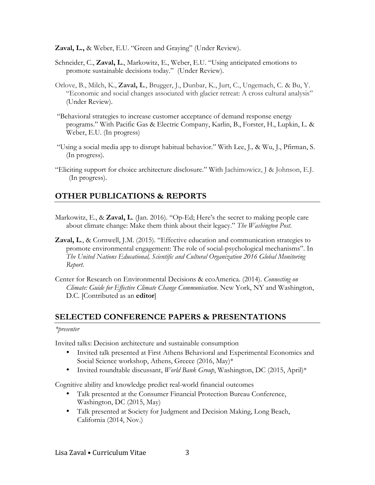**Zaval, L.,** & Weber, E.U. "Green and Graying" (Under Review).

- Schneider, C., **Zaval, L**., Markowitz, E., Weber, E.U. "Using anticipated emotions to promote sustainable decisions today." (Under Review).
- Orlove, B., Milch, K., **Zaval, L**., Brugger, J., Dunbar, K., Jurt, C., Ungemach, C. & Bu, Y. "Economic and social changes associated with glacier retreat: A cross cultural analysis" (Under Review).
- "Behavioral strategies to increase customer acceptance of demand response energy programs." With Pacific Gas & Electric Company, Karlin, B., Forster, H., Lupkin, L. & Weber, E.U. (In progress)
- "Using a social media app to disrupt habitual behavior." With Lee, J.*,* & Wu, J., Pfirman, S. (In progress).
- "Eliciting support for choice architecture disclosure." With Jachimowicz, J & Johnson, E.J. (In progress).

# **OTHER PUBLICATIONS & REPORTS**

- Markowitz, E., & **Zaval, L**. (Jan. 2016). "Op-Ed; Here's the secret to making people care about climate change: Make them think about their legacy." *The Washington Post*.
- **Zaval, L**., & Cornwell, J.M. (2015). "Effective education and communication strategies to promote environmental engagement: The role of social-psychological mechanisms". In *The United Nations Educational, Scientific and Cultural Organization 2016 Global Monitoring Report*.
- Center for Research on Environmental Decisions & ecoAmerica. (2014). *Connecting on Climate: Guide for Effective Climate Change Communication*. New York, NY and Washington, D.C. [Contributed as an **editor**]

### **SELECTED CONFERENCE PAPERS & PRESENTATIONS**

#### *\*presenter*

Invited talks: Decision architecture and sustainable consumption

- Invited talk presented at First Athens Behavioral and Experimental Economics and Social Science workshop, Athens, Greece (2016, May)\*
- Invited roundtable discussant, *World Bank Group*, Washington, DC (2015, April)\*

Cognitive ability and knowledge predict real-world financial outcomes

- Talk presented at the Consumer Financial Protection Bureau Conference, Washington, DC (2015, May)
- Talk presented at Society for Judgment and Decision Making, Long Beach, California (2014, Nov.)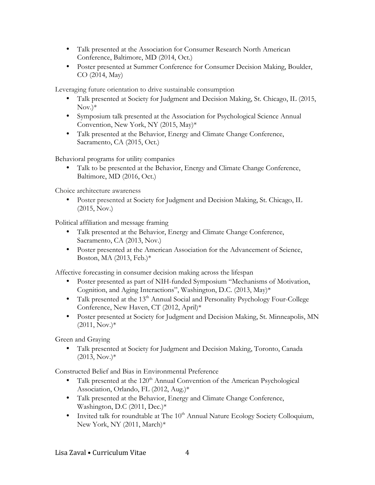- Talk presented at the Association for Consumer Research North American Conference, Baltimore, MD (2014, Oct.)
- Poster presented at Summer Conference for Consumer Decision Making, Boulder, CO (2014, May)

Leveraging future orientation to drive sustainable consumption

- Talk presented at Society for Judgment and Decision Making, St. Chicago, IL (2015,  $Nov.$ <sup>\*</sup>
- Symposium talk presented at the Association for Psychological Science Annual Convention, New York, NY (2015, May)\*
- Talk presented at the Behavior, Energy and Climate Change Conference, Sacramento, CA (2015, Oct.)

Behavioral programs for utility companies

• Talk to be presented at the Behavior, Energy and Climate Change Conference, Baltimore, MD (2016, Oct.)

Choice architecture awareness

• Poster presented at Society for Judgment and Decision Making, St. Chicago, IL (2015, Nov.)

Political affiliation and message framing

- Talk presented at the Behavior, Energy and Climate Change Conference, Sacramento, CA (2013, Nov.)
- Poster presented at the American Association for the Advancement of Science, Boston, MA (2013, Feb.)\*

Affective forecasting in consumer decision making across the lifespan

- Poster presented as part of NIH-funded Symposium "Mechanisms of Motivation, Cognition, and Aging Interactions", Washington, D.C. (2013, May)\*
- Talk presented at the 13<sup>th</sup> Annual Social and Personality Psychology Four-College Conference, New Haven, CT (2012, April)\*
- Poster presented at Society for Judgment and Decision Making, St. Minneapolis, MN  $(2011, Nov.)*$

Green and Graying

• Talk presented at Society for Judgment and Decision Making, Toronto, Canada  $(2013, Nov.)*$ 

Constructed Belief and Bias in Environmental Preference

- Talk presented at the  $120<sup>th</sup>$  Annual Convention of the American Psychological Association, Orlando, FL (2012, Aug.)\*
- Talk presented at the Behavior, Energy and Climate Change Conference, Washington, D.C (2011, Dec.)\*
- Invited talk for roundtable at The  $10^{th}$  Annual Nature Ecology Society Colloquium, New York, NY (2011, March)\*

Lisa Zaval • Curriculum Vitae 4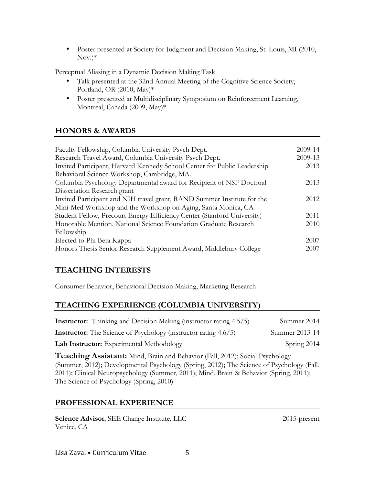• Poster presented at Society for Judgment and Decision Making, St. Louis, MI (2010,  $Nov.$ <sup>\*</sup>

Perceptual Aliasing in a Dynamic Decision Making Task

- Talk presented at the 32nd Annual Meeting of the Cognitive Science Society, Portland, OR (2010, May)\*
- Poster presented at Multidisciplinary Symposium on Reinforcement Learning, Montreal, Canada (2009, May)\*

# **HONORS & AWARDS**

| Faculty Fellowship, Columbia University Psych Dept.                      | 2009-14 |
|--------------------------------------------------------------------------|---------|
| Research Travel Award, Columbia University Psych Dept.                   | 2009-13 |
| Invited Participant, Harvard Kennedy School Center for Public Leadership | 2013    |
| Behavioral Science Workshop, Cambridge, MA.                              |         |
| Columbia Psychology Departmental award for Recipient of NSF Doctoral     | 2013    |
| Dissertation Research grant                                              |         |
| Invited Participant and NIH travel grant, RAND Summer Institute for the  | 2012    |
| Mini-Med Workshop and the Workshop on Aging, Santa Monica, CA            |         |
| Student Fellow, Precourt Energy Efficiency Center (Stanford University)  | 2011    |
| Honorable Mention, National Science Foundation Graduate Research         | 2010    |
| Fellowship                                                               |         |
| Elected to Phi Beta Kappa                                                | 2007    |
| Honors Thesis Senior Research Supplement Award, Middlebury College       | 2007    |

# **TEACHING INTERESTS**

Consumer Behavior, Behavioral Decision Making, Marketing Research

### **TEACHING EXPERIENCE (COLUMBIA UNIVERSITY)**

| <b>Instructor:</b> Thinking and Decision Making (instructor rating 4.5/5) | Summer 2014    |
|---------------------------------------------------------------------------|----------------|
| <b>Instructor:</b> The Science of Psychology (instructor rating 4.6/5)    | Summer 2013-14 |
| Lab Instructor: Experimental Methodology                                  | Spring 2014    |

**Teaching Assistant:** Mind, Brain and Behavior (Fall, 2012); Social Psychology (Summer, 2012); Developmental Psychology (Spring, 2012); The Science of Psychology (Fall, 2011); Clinical Neuropsychology (Summer, 2011); Mind, Brain & Behavior (Spring, 2011); The Science of Psychology (Spring, 2010)

### **PROFESSIONAL EXPERIENCE**

**Science Advisor**, SEE Change Institute, LLC Venice, CA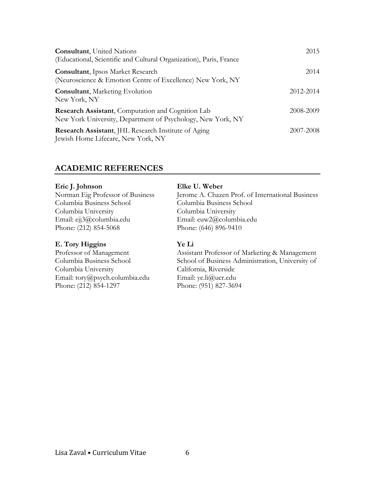| <b>Consultant</b> , United Nations<br>(Educational, Scientific and Cultural Organization), Paris, France         | 2015      |
|------------------------------------------------------------------------------------------------------------------|-----------|
| <b>Consultant</b> , Ipsos Market Research<br>(Neuroscience & Emotion Centre of Excellence) New York, NY          | 2014      |
| <b>Consultant</b> , Marketing Evolution<br>New York, NY                                                          | 2012-2014 |
| Research Assistant, Computation and Cognition Lab<br>New York University, Department of Psychology, New York, NY | 2008-2009 |
| <b>Research Assistant, JHL Research Institute of Aging</b><br>Jewish Home Lifecare, New York, NY                 | 2007-2008 |

#### **ACADEMIC REFERENCES**

#### **Eric J. Johnson**

Norman Eig Professor of Business Columbia Business School Columbia University Email: ejj3@columbia.edu Phone: (212) 854-5068

#### **E. Tory Higgins**

Professor of Management Columbia Business School Columbia University Email: tory@psych.columbia.edu Phone: (212) 854-1297

#### **Elke U. Weber**

Jerome A. Chazen Prof. of International Business Columbia Business School Columbia University Email: euw2@columbia.edu Phone: (646) 896-9410

#### **Ye Li**

Assistant Professor of Marketing & Management School of Business Administration, University of California, Riverside Email: ye.li@ucr.edu Phone: (951) 827-3694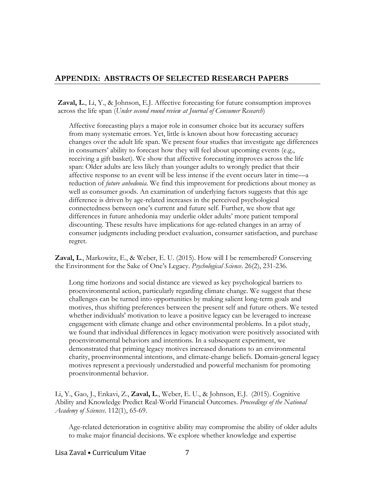### **APPENDIX: ABSTRACTS OF SELECTED RESEARCH PAPERS**

**Zaval, L**., Li, Y., & Johnson, E.J. Affective forecasting for future consumption improves across the life span (*Under second round review at Journal of Consumer Research*)

Affective forecasting plays a major role in consumer choice but its accuracy suffers from many systematic errors. Yet, little is known about how forecasting accuracy changes over the adult life span. We present four studies that investigate age differences in consumers' ability to forecast how they will feel about upcoming events (e.g., receiving a gift basket). We show that affective forecasting improves across the life span: Older adults are less likely than younger adults to wrongly predict that their affective response to an event will be less intense if the event occurs later in time—a reduction of *future anhedonia*. We find this improvement for predictions about money as well as consumer goods. An examination of underlying factors suggests that this age difference is driven by age-related increases in the perceived psychological connectedness between one's current and future self. Further, we show that age differences in future anhedonia may underlie older adults' more patient temporal discounting. These results have implications for age-related changes in an array of consumer judgments including product evaluation, consumer satisfaction, and purchase regret.

**Zaval, L**., Markowitz, E., & Weber, E. U. (2015). How will I be remembered? Conserving the Environment for the Sake of One's Legacy. *Psychological Science*. 26(2), 231-236.

Long time horizons and social distance are viewed as key psychological barriers to proenvironmental action, particularly regarding climate change. We suggest that these challenges can be turned into opportunities by making salient long-term goals and motives, thus shifting preferences between the present self and future others. We tested whether individuals' motivation to leave a positive legacy can be leveraged to increase engagement with climate change and other environmental problems. In a pilot study, we found that individual differences in legacy motivation were positively associated with proenvironmental behaviors and intentions. In a subsequent experiment, we demonstrated that priming legacy motives increased donations to an environmental charity, proenvironmental intentions, and climate-change beliefs. Domain-general legacy motives represent a previously understudied and powerful mechanism for promoting proenvironmental behavior.

Li, Y., Gao, J., Enkavi, Z., **Zaval, L**., Weber, E. U., & Johnson, E.J. (2015). Cognitive Ability and Knowledge Predict Real-World Financial Outcomes. *Proceedings of the National Academy of Sciences*. 112(1), 65-69.

Age-related deterioration in cognitive ability may compromise the ability of older adults to make major financial decisions. We explore whether knowledge and expertise

Lisa Zaval • Curriculum Vitae 7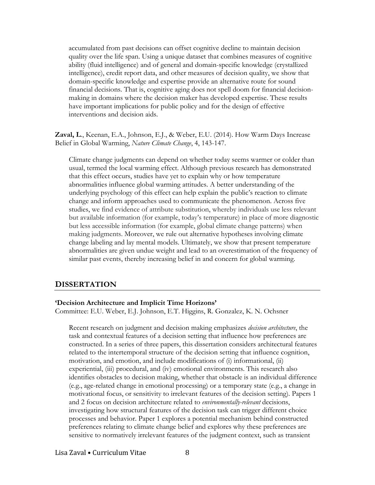accumulated from past decisions can offset cognitive decline to maintain decision quality over the life span. Using a unique dataset that combines measures of cognitive ability (fluid intelligence) and of general and domain-specific knowledge (crystallized intelligence), credit report data, and other measures of decision quality, we show that domain-specific knowledge and expertise provide an alternative route for sound financial decisions. That is, cognitive aging does not spell doom for financial decisionmaking in domains where the decision maker has developed expertise. These results have important implications for public policy and for the design of effective interventions and decision aids.

**Zaval, L**., Keenan, E.A., Johnson, E.J., & Weber, E.U. (2014). How Warm Days Increase Belief in Global Warming, *Nature Climate Change*, 4, 143-147.

Climate change judgments can depend on whether today seems warmer or colder than usual, termed the local warming effect. Although previous research has demonstrated that this effect occurs, studies have yet to explain why or how temperature abnormalities influence global warming attitudes. A better understanding of the underlying psychology of this effect can help explain the public's reaction to climate change and inform approaches used to communicate the phenomenon. Across five studies, we find evidence of attribute substitution, whereby individuals use less relevant but available information (for example, today's temperature) in place of more diagnostic but less accessible information (for example, global climate change patterns) when making judgments. Moreover, we rule out alternative hypotheses involving climate change labeling and lay mental models. Ultimately, we show that present temperature abnormalities are given undue weight and lead to an overestimation of the frequency of similar past events, thereby increasing belief in and concern for global warming.

#### **DISSERTATION**

#### **'Decision Architecture and Implicit Time Horizons'**

Committee: E.U. Weber, E.J. Johnson, E.T. Higgins, R. Gonzalez, K. N. Ochsner

Recent research on judgment and decision making emphasizes *decision architecture*, the task and contextual features of a decision setting that influence how preferences are constructed. In a series of three papers, this dissertation considers architectural features related to the intertemporal structure of the decision setting that influence cognition, motivation, and emotion, and include modifications of (i) informational, (ii) experiential, (iii) procedural, and (iv) emotional environments. This research also identifies obstacles to decision making, whether that obstacle is an individual difference (e.g., age-related change in emotional processing) or a temporary state (e.g., a change in motivational focus, or sensitivity to irrelevant features of the decision setting). Papers 1 and 2 focus on decision architecture related to *environmentally-relevant* decisions, investigating how structural features of the decision task can trigger different choice processes and behavior. Paper 1 explores a potential mechanism behind constructed preferences relating to climate change belief and explores why these preferences are sensitive to normatively irrelevant features of the judgment context, such as transient

Lisa Zaval • Curriculum Vitae and B